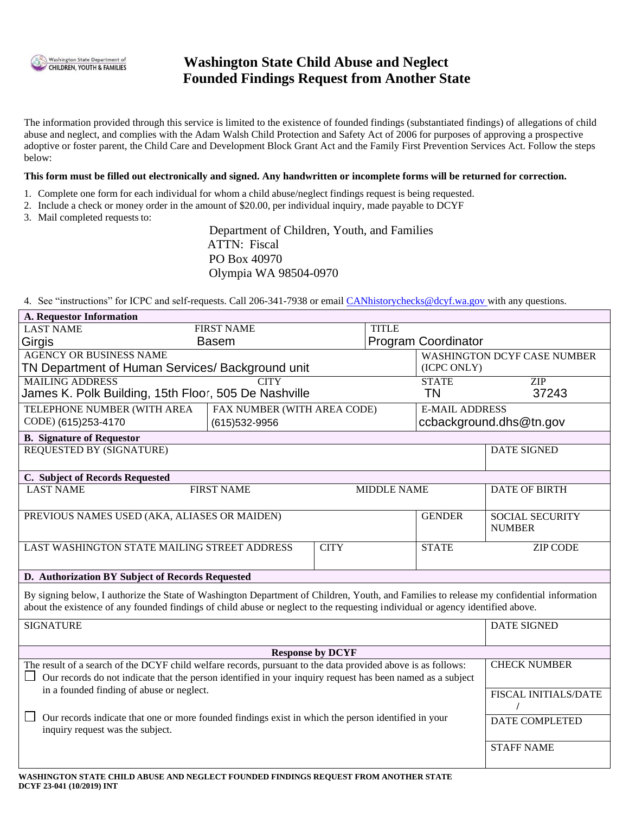

# **Washington State Child Abuse and Neglect Founded Findings Request from Another State**

The information provided through this service is limited to the existence of founded findings (substantiated findings) of allegations of child abuse and neglect, and complies with the Adam Walsh Child Protection and Safety Act of 2006 for purposes of approving a prospective adoptive or foster parent, the Child Care and Development Block Grant Act and the Family First Prevention Services Act. Follow the steps below:

#### **This form must be filled out electronically and signed. Any handwritten or incomplete forms will be returned for correction.**

- 1. Complete one form for each individual for whom a child abuse/neglect findings request is being requested.
- 2. Include a check or money order in the amount of \$20.00, per individual inquiry, made payable to DCYF
- 3. Mail completed requests to:

Department of Children, Youth, and Families ATTN: Fiscal PO Box 40970 Olympia WA 98504-0970

4. See "instructions" for ICPC and self-requests. Call 206-341-7938 or email [CANhistorychecks@dcyf.wa.gov w](mailto:CANhistorychecks@dcyf.wa.gov)ith any questions.

| <b>A. Requestor Information</b>                                                                                                                                                                                                                                            |                                   |             |               |                             |                                    |
|----------------------------------------------------------------------------------------------------------------------------------------------------------------------------------------------------------------------------------------------------------------------------|-----------------------------------|-------------|---------------|-----------------------------|------------------------------------|
| <b>LAST NAME</b>                                                                                                                                                                                                                                                           | <b>FIRST NAME</b><br><b>TITLE</b> |             |               |                             |                                    |
| Girgis                                                                                                                                                                                                                                                                     | <b>Basem</b>                      |             |               | <b>Program Coordinator</b>  |                                    |
| <b>AGENCY OR BUSINESS NAME</b>                                                                                                                                                                                                                                             |                                   |             |               |                             | <b>WASHINGTON DCYF CASE NUMBER</b> |
| TN Department of Human Services/ Background unit                                                                                                                                                                                                                           |                                   |             |               | (ICPC ONLY)                 |                                    |
| <b>MAILING ADDRESS</b><br><b>CITY</b>                                                                                                                                                                                                                                      |                                   |             | <b>STATE</b>  | ZIP                         |                                    |
| James K. Polk Building, 15th Floor, 505 De Nashville                                                                                                                                                                                                                       |                                   |             |               | TN                          | 37243                              |
| TELEPHONE NUMBER (WITH AREA                                                                                                                                                                                                                                                | FAX NUMBER (WITH AREA CODE)       |             |               | <b>E-MAIL ADDRESS</b>       |                                    |
| CODE) (615)253-4170                                                                                                                                                                                                                                                        | (615)532-9956                     |             |               | ccbackground.dhs@tn.gov     |                                    |
| <b>B.</b> Signature of Requestor                                                                                                                                                                                                                                           |                                   |             |               |                             |                                    |
| <b>REQUESTED BY (SIGNATURE)</b>                                                                                                                                                                                                                                            |                                   |             |               |                             | <b>DATE SIGNED</b>                 |
|                                                                                                                                                                                                                                                                            |                                   |             |               |                             |                                    |
| C. Subject of Records Requested                                                                                                                                                                                                                                            |                                   |             |               |                             |                                    |
| <b>LAST NAME</b><br><b>FIRST NAME</b><br><b>MIDDLE NAME</b>                                                                                                                                                                                                                |                                   |             |               | <b>DATE OF BIRTH</b>        |                                    |
|                                                                                                                                                                                                                                                                            |                                   |             |               |                             |                                    |
| PREVIOUS NAMES USED (AKA, ALIASES OR MAIDEN)                                                                                                                                                                                                                               |                                   |             | <b>GENDER</b> | <b>SOCIAL SECURITY</b>      |                                    |
|                                                                                                                                                                                                                                                                            |                                   |             |               |                             | <b>NUMBER</b>                      |
| LAST WASHINGTON STATE MAILING STREET ADDRESS                                                                                                                                                                                                                               |                                   | <b>CITY</b> |               | <b>STATE</b>                | <b>ZIP CODE</b>                    |
|                                                                                                                                                                                                                                                                            |                                   |             |               |                             |                                    |
| D. Authorization BY Subject of Records Requested                                                                                                                                                                                                                           |                                   |             |               |                             |                                    |
|                                                                                                                                                                                                                                                                            |                                   |             |               |                             |                                    |
| By signing below, I authorize the State of Washington Department of Children, Youth, and Families to release my confidential information<br>about the existence of any founded findings of child abuse or neglect to the requesting individual or agency identified above. |                                   |             |               |                             |                                    |
|                                                                                                                                                                                                                                                                            |                                   |             |               |                             |                                    |
| <b>SIGNATURE</b>                                                                                                                                                                                                                                                           |                                   |             |               |                             | <b>DATE SIGNED</b>                 |
|                                                                                                                                                                                                                                                                            |                                   |             |               |                             |                                    |
| <b>Response by DCYF</b>                                                                                                                                                                                                                                                    |                                   |             |               |                             |                                    |
| The result of a search of the DCYF child welfare records, pursuant to the data provided above is as follows:                                                                                                                                                               |                                   |             |               |                             | <b>CHECK NUMBER</b>                |
| Our records do not indicate that the person identified in your inquiry request has been named as a subject                                                                                                                                                                 |                                   |             |               |                             |                                    |
| in a founded finding of abuse or neglect.                                                                                                                                                                                                                                  |                                   |             |               | <b>FISCAL INITIALS/DATE</b> |                                    |
|                                                                                                                                                                                                                                                                            |                                   |             |               |                             |                                    |
| Our records indicate that one or more founded findings exist in which the person identified in your                                                                                                                                                                        |                                   |             |               |                             | <b>DATE COMPLETED</b>              |
| inquiry request was the subject.                                                                                                                                                                                                                                           |                                   |             |               |                             |                                    |
|                                                                                                                                                                                                                                                                            |                                   |             |               | <b>STAFF NAME</b>           |                                    |
|                                                                                                                                                                                                                                                                            |                                   |             |               |                             |                                    |